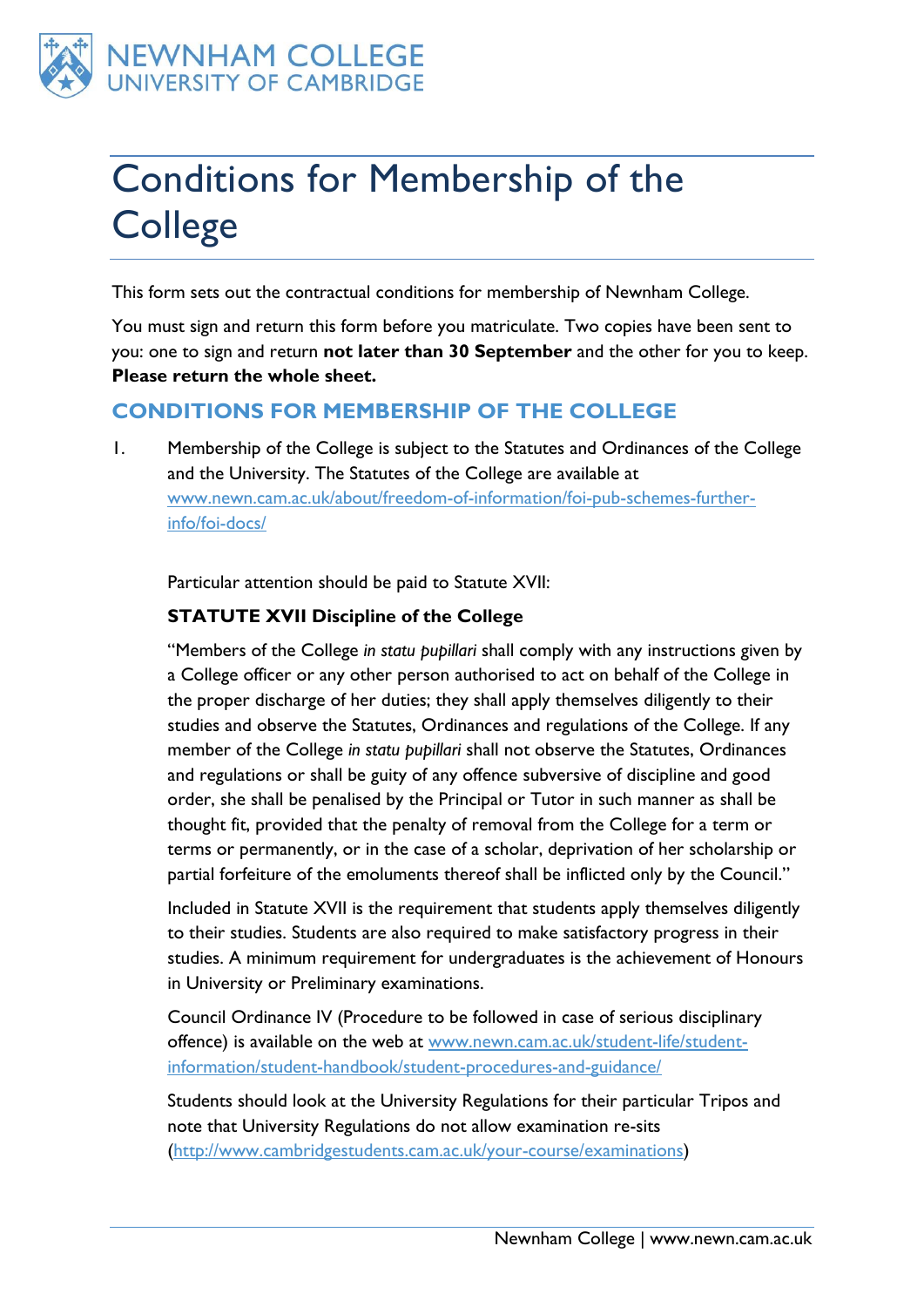

# Conditions for Membership of the **College**

This form sets out the contractual conditions for membership of Newnham College.

You must sign and return this form before you matriculate. Two copies have been sent to you: one to sign and return **not later than 30 September** and the other for you to keep. **Please return the whole sheet.**

### **CONDITIONS FOR MEMBERSHIP OF THE COLLEGE**

1. Membership of the College is subject to the Statutes and Ordinances of the College and the University. The Statutes of the College are available at [www.newn.cam.ac.uk/about/freedom-of-information/foi-pub-schemes-further](http://www.newn.cam.ac.uk/about/freedom-of-information/foi-pub-schemes-further-info/foi-docs/)[info/foi-docs/](http://www.newn.cam.ac.uk/about/freedom-of-information/foi-pub-schemes-further-info/foi-docs/)

Particular attention should be paid to Statute XVII:

#### **STATUTE XVII Discipline of the College**

"Members of the College *in statu pupillari* shall comply with any instructions given by a College officer or any other person authorised to act on behalf of the College in the proper discharge of her duties; they shall apply themselves diligently to their studies and observe the Statutes, Ordinances and regulations of the College. If any member of the College *in statu pupillari* shall not observe the Statutes, Ordinances and regulations or shall be guity of any offence subversive of discipline and good order, she shall be penalised by the Principal or Tutor in such manner as shall be thought fit, provided that the penalty of removal from the College for a term or terms or permanently, or in the case of a scholar, deprivation of her scholarship or partial forfeiture of the emoluments thereof shall be inflicted only by the Council."

Included in Statute XVII is the requirement that students apply themselves diligently to their studies. Students are also required to make satisfactory progress in their studies. A minimum requirement for undergraduates is the achievement of Honours in University or Preliminary examinations.

Council Ordinance IV (Procedure to be followed in case of serious disciplinary offence) is available on the web at [www.newn.cam.ac.uk/student-life/student](http://www.newn.cam.ac.uk/student-life/student-information/student-handbook/student-procedures-and-guidance/)[information/student-handbook/student-procedures-and-guidance/](http://www.newn.cam.ac.uk/student-life/student-information/student-handbook/student-procedures-and-guidance/)

Students should look at the University Regulations for their particular Tripos and note that University Regulations do not allow examination re-sits [\(http://www.cambridgestudents.cam.ac.uk/your-course/examinations\)](http://www.cambridgestudents.cam.ac.uk/your-course/examinations)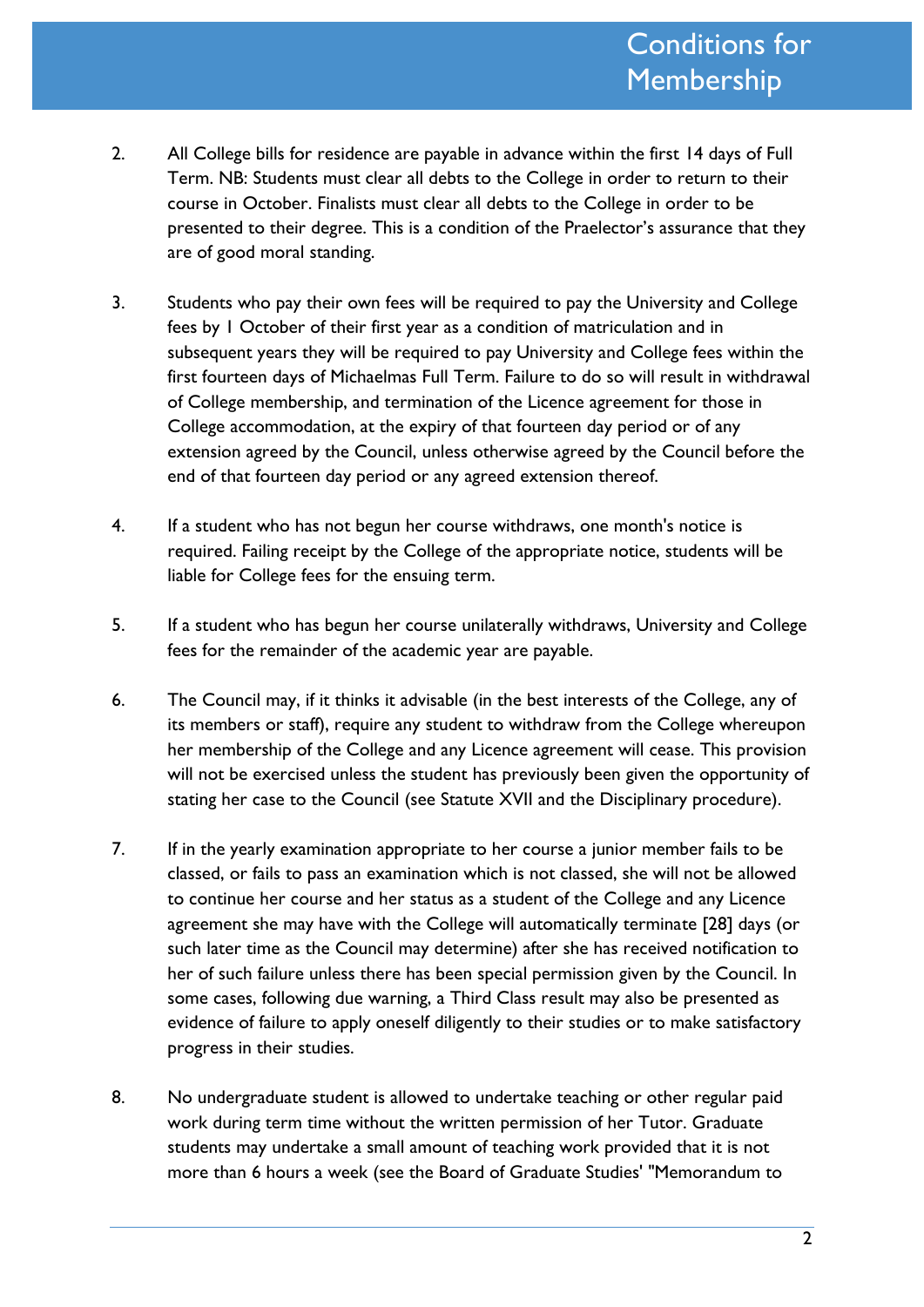- 2. All College bills for residence are payable in advance within the first 14 days of Full Term. NB: Students must clear all debts to the College in order to return to their course in October. Finalists must clear all debts to the College in order to be presented to their degree. This is a condition of the Praelector's assurance that they are of good moral standing.
- 3. Students who pay their own fees will be required to pay the University and College fees by 1 October of their first year as a condition of matriculation and in subsequent years they will be required to pay University and College fees within the first fourteen days of Michaelmas Full Term. Failure to do so will result in withdrawal of College membership, and termination of the Licence agreement for those in College accommodation, at the expiry of that fourteen day period or of any extension agreed by the Council, unless otherwise agreed by the Council before the end of that fourteen day period or any agreed extension thereof.
- 4. If a student who has not begun her course withdraws, one month's notice is required. Failing receipt by the College of the appropriate notice, students will be liable for College fees for the ensuing term.
- 5. If a student who has begun her course unilaterally withdraws, University and College fees for the remainder of the academic year are payable.
- 6. The Council may, if it thinks it advisable (in the best interests of the College, any of its members or staff), require any student to withdraw from the College whereupon her membership of the College and any Licence agreement will cease. This provision will not be exercised unless the student has previously been given the opportunity of stating her case to the Council (see Statute XVII and the Disciplinary procedure).
- 7. If in the yearly examination appropriate to her course a junior member fails to be classed, or fails to pass an examination which is not classed, she will not be allowed to continue her course and her status as a student of the College and any Licence agreement she may have with the College will automatically terminate [28] days (or such later time as the Council may determine) after she has received notification to her of such failure unless there has been special permission given by the Council. In some cases, following due warning, a Third Class result may also be presented as evidence of failure to apply oneself diligently to their studies or to make satisfactory progress in their studies.
- 8. No undergraduate student is allowed to undertake teaching or other regular paid work during term time without the written permission of her Tutor. Graduate students may undertake a small amount of teaching work provided that it is not more than 6 hours a week (see the Board of Graduate Studies' "Memorandum to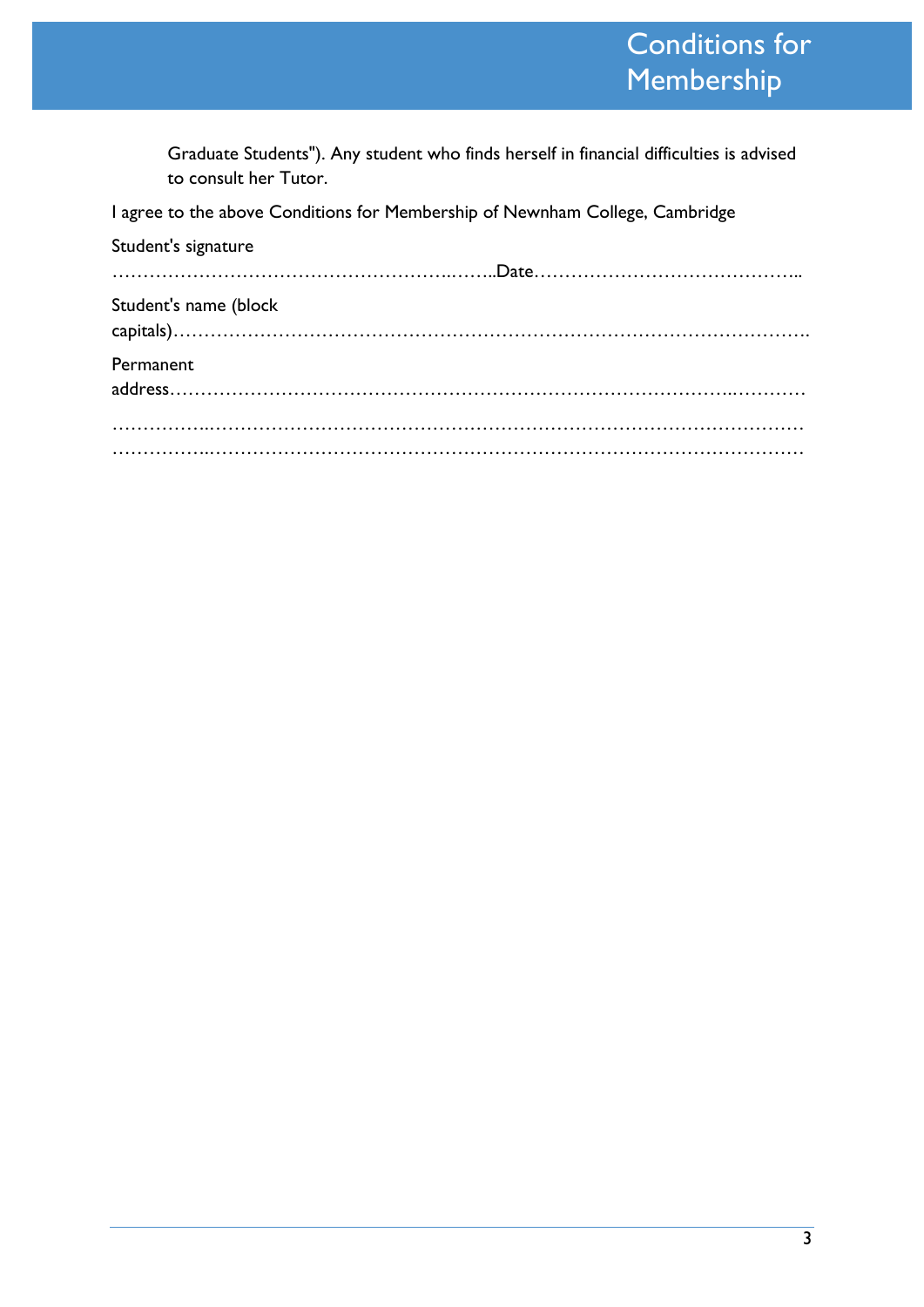## Conditions for Membership

Graduate Students"). Any student who finds herself in financial difficulties is advised to consult her Tutor.

I agree to the above Conditions for Membership of Newnham College, Cambridge

| Student's signature   |  |
|-----------------------|--|
|                       |  |
| Student's name (block |  |
| Permanent             |  |
|                       |  |
|                       |  |
|                       |  |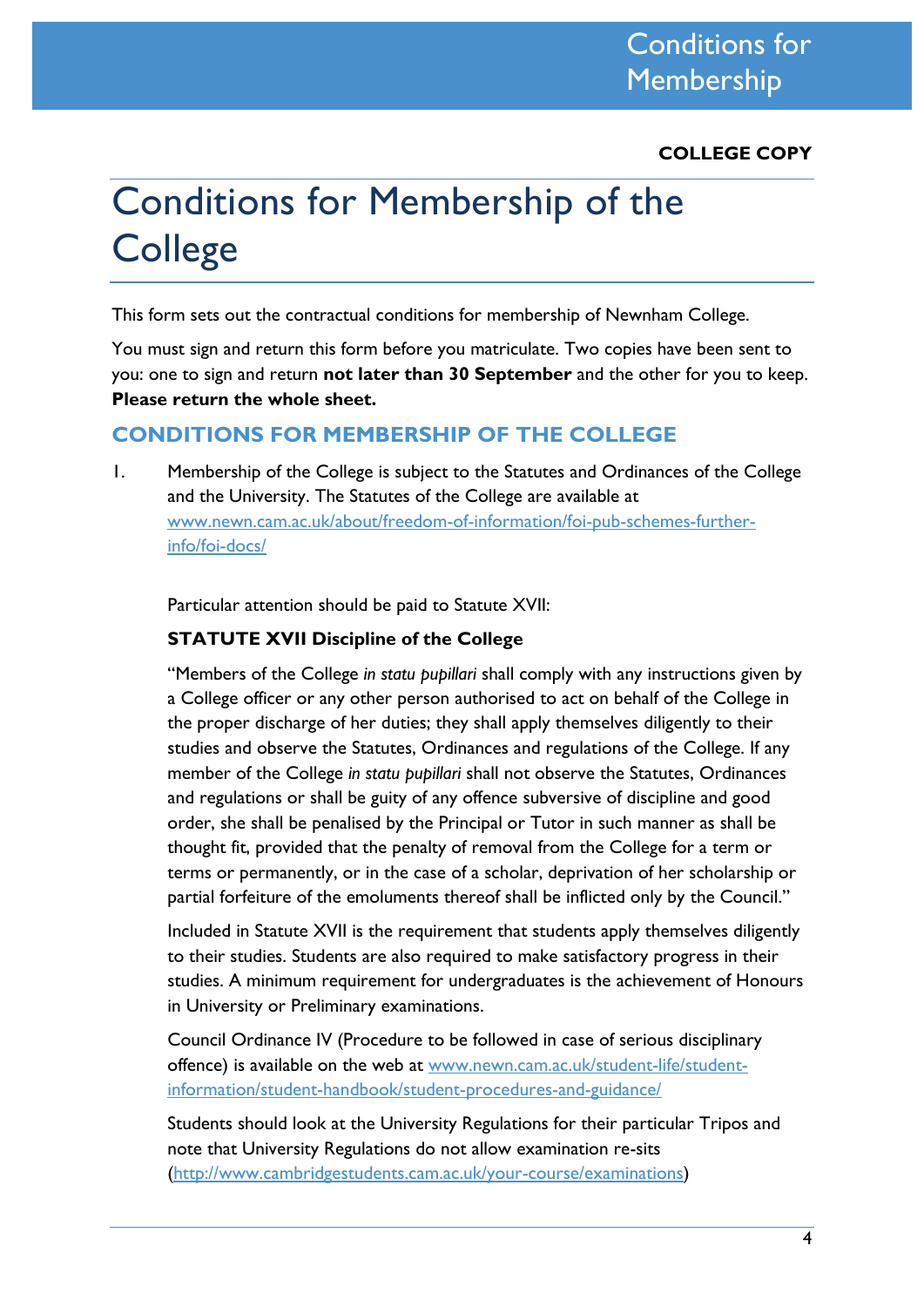**COLLEGE COPY**

# Conditions for Membership of the **College**

This form sets out the contractual conditions for membership of Newnham College.

You must sign and return this form before you matriculate. Two copies have been sent to you: one to sign and return **not later than 30 September** and the other for you to keep. **Please return the whole sheet.**

### **CONDITIONS FOR MEMBERSHIP OF THE COLLEGE**

1. Membership of the College is subject to the Statutes and Ordinances of the College and the University. The Statutes of the College are available at [www.newn.cam.ac.uk/about/freedom-of-information/foi-pub-schemes-further](http://www.newn.cam.ac.uk/about/freedom-of-information/foi-pub-schemes-further-info/foi-docs/)[info/foi-docs/](http://www.newn.cam.ac.uk/about/freedom-of-information/foi-pub-schemes-further-info/foi-docs/)

Particular attention should be paid to Statute XVII:

#### **STATUTE XVII Discipline of the College**

"Members of the College *in statu pupillari* shall comply with any instructions given by a College officer or any other person authorised to act on behalf of the College in the proper discharge of her duties; they shall apply themselves diligently to their studies and observe the Statutes, Ordinances and regulations of the College. If any member of the College *in statu pupillari* shall not observe the Statutes, Ordinances and regulations or shall be guity of any offence subversive of discipline and good order, she shall be penalised by the Principal or Tutor in such manner as shall be thought fit, provided that the penalty of removal from the College for a term or terms or permanently, or in the case of a scholar, deprivation of her scholarship or partial forfeiture of the emoluments thereof shall be inflicted only by the Council."

Included in Statute XVII is the requirement that students apply themselves diligently to their studies. Students are also required to make satisfactory progress in their studies. A minimum requirement for undergraduates is the achievement of Honours in University or Preliminary examinations.

Council Ordinance IV (Procedure to be followed in case of serious disciplinary offence) is available on the web at [www.newn.cam.ac.uk/student-life/student](http://www.newn.cam.ac.uk/student-life/student-information/student-handbook/student-procedures-and-guidance/)[information/student-handbook/student-procedures-and-guidance/](http://www.newn.cam.ac.uk/student-life/student-information/student-handbook/student-procedures-and-guidance/)

Students should look at the University Regulations for their particular Tripos and note that University Regulations do not allow examination re-sits [\(http://www.cambridgestudents.cam.ac.uk/your-course/examinations\)](http://www.cambridgestudents.cam.ac.uk/your-course/examinations)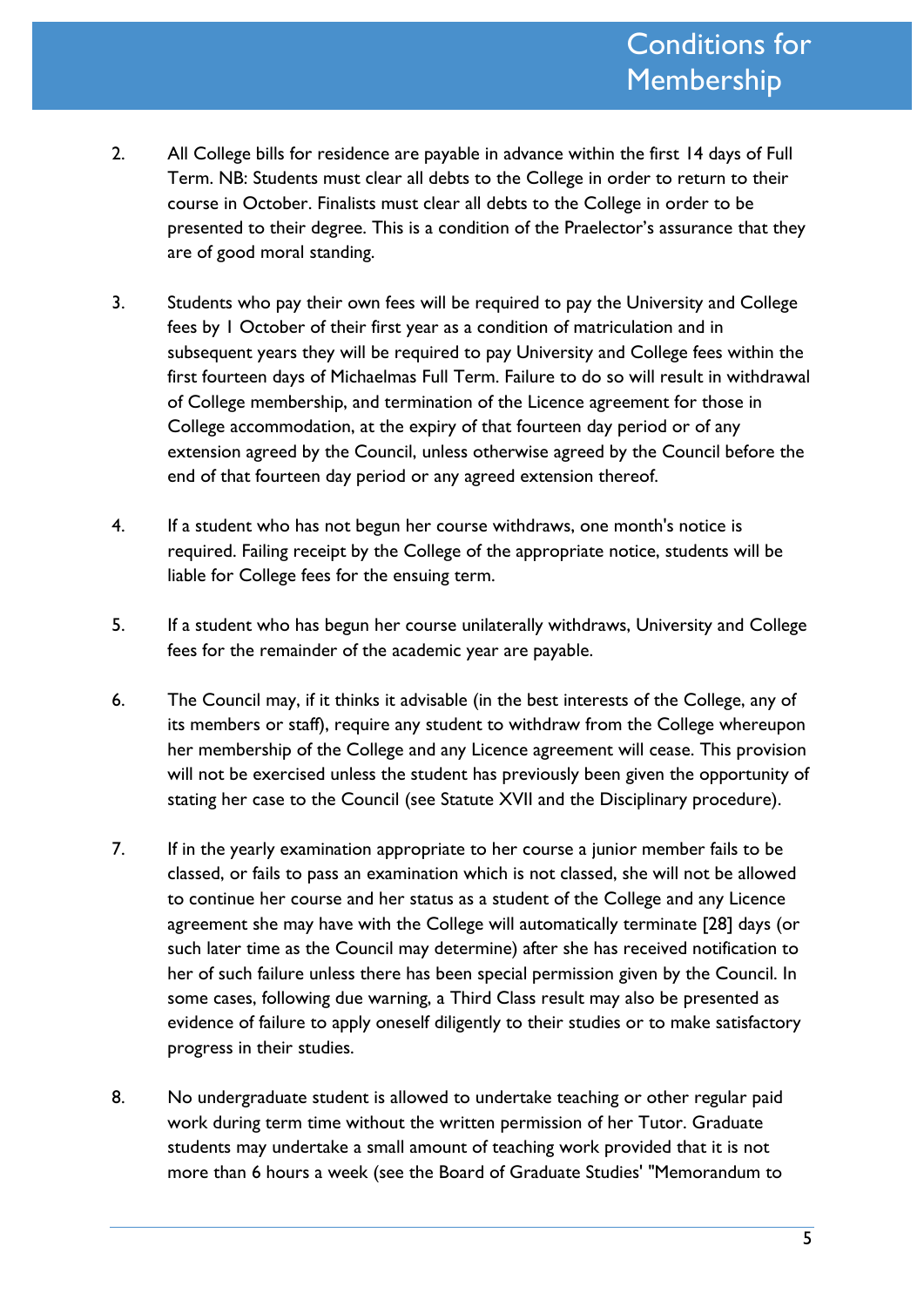- 2. All College bills for residence are payable in advance within the first 14 days of Full Term. NB: Students must clear all debts to the College in order to return to their course in October. Finalists must clear all debts to the College in order to be presented to their degree. This is a condition of the Praelector's assurance that they are of good moral standing.
- 3. Students who pay their own fees will be required to pay the University and College fees by 1 October of their first year as a condition of matriculation and in subsequent years they will be required to pay University and College fees within the first fourteen days of Michaelmas Full Term. Failure to do so will result in withdrawal of College membership, and termination of the Licence agreement for those in College accommodation, at the expiry of that fourteen day period or of any extension agreed by the Council, unless otherwise agreed by the Council before the end of that fourteen day period or any agreed extension thereof.
- 4. If a student who has not begun her course withdraws, one month's notice is required. Failing receipt by the College of the appropriate notice, students will be liable for College fees for the ensuing term.
- 5. If a student who has begun her course unilaterally withdraws, University and College fees for the remainder of the academic year are payable.
- 6. The Council may, if it thinks it advisable (in the best interests of the College, any of its members or staff), require any student to withdraw from the College whereupon her membership of the College and any Licence agreement will cease. This provision will not be exercised unless the student has previously been given the opportunity of stating her case to the Council (see Statute XVII and the Disciplinary procedure).
- 7. If in the yearly examination appropriate to her course a junior member fails to be classed, or fails to pass an examination which is not classed, she will not be allowed to continue her course and her status as a student of the College and any Licence agreement she may have with the College will automatically terminate [28] days (or such later time as the Council may determine) after she has received notification to her of such failure unless there has been special permission given by the Council. In some cases, following due warning, a Third Class result may also be presented as evidence of failure to apply oneself diligently to their studies or to make satisfactory progress in their studies.
- 8. No undergraduate student is allowed to undertake teaching or other regular paid work during term time without the written permission of her Tutor. Graduate students may undertake a small amount of teaching work provided that it is not more than 6 hours a week (see the Board of Graduate Studies' "Memorandum to